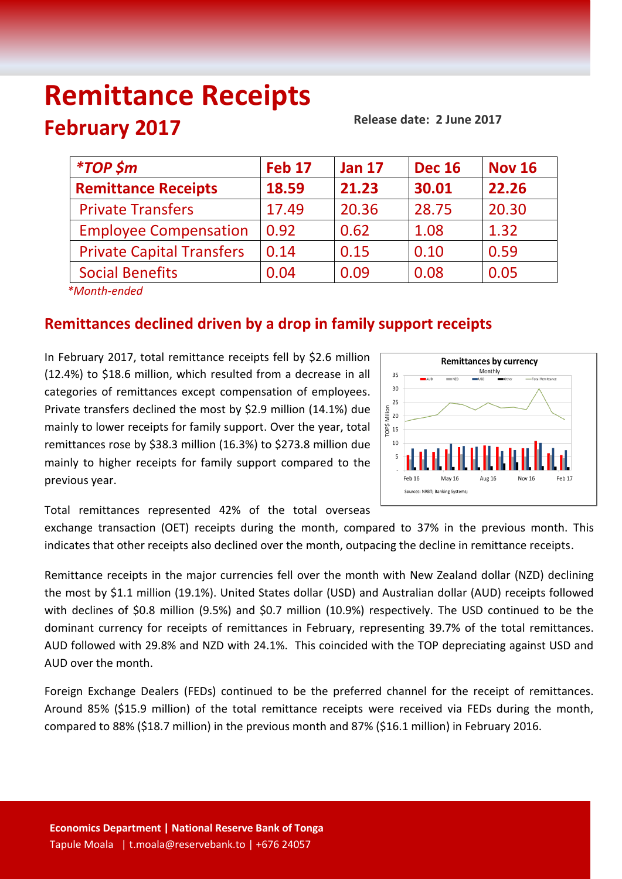# **Remittance Receipts February 2017**

**Release date: 2 June 2017**

| <i><b>*TOP \$m</b></i>           | <b>Feb 17</b> | <b>Jan 17</b> | <b>Dec 16</b> | <b>Nov 16</b> |
|----------------------------------|---------------|---------------|---------------|---------------|
| <b>Remittance Receipts</b>       | 18.59         | 21.23         | 30.01         | 22.26         |
| <b>Private Transfers</b>         | 17.49         | 20.36         | 28.75         | 20.30         |
| <b>Employee Compensation</b>     | 0.92          | 0.62          | 1.08          | 1.32          |
| <b>Private Capital Transfers</b> | 0.14          | 0.15          | 0.10          | 0.59          |
| <b>Social Benefits</b>           | 0.04          | 0.09          | 0.08          | 0.05          |
| $*Month and od$                  |               |               |               |               |

*\*Month-ended*

## **Remittances declined driven by a drop in family support receipts**

In February 2017, total remittance receipts fell by \$2.6 million (12.4%) to \$18.6 million, which resulted from a decrease in all categories of remittances except compensation of employees. Private transfers declined the most by \$2.9 million (14.1%) due mainly to lower receipts for family support. Over the year, total remittances rose by \$38.3 million (16.3%) to \$273.8 million due mainly to higher receipts for family support compared to the previous year.



Total remittances represented 42% of the total overseas

exchange transaction (OET) receipts during the month, compared to 37% in the previous month. This indicates that other receipts also declined over the month, outpacing the decline in remittance receipts.

Remittance receipts in the major currencies fell over the month with New Zealand dollar (NZD) declining the most by \$1.1 million (19.1%). United States dollar (USD) and Australian dollar (AUD) receipts followed with declines of \$0.8 million (9.5%) and \$0.7 million (10.9%) respectively. The USD continued to be the dominant currency for receipts of remittances in February, representing 39.7% of the total remittances. AUD followed with 29.8% and NZD with 24.1%. This coincided with the TOP depreciating against USD and AUD over the month.

Foreign Exchange Dealers (FEDs) continued to be the preferred channel for the receipt of remittances. Around 85% (\$15.9 million) of the total remittance receipts were received via FEDs during the month, compared to 88% (\$18.7 million) in the previous month and 87% (\$16.1 million) in February 2016.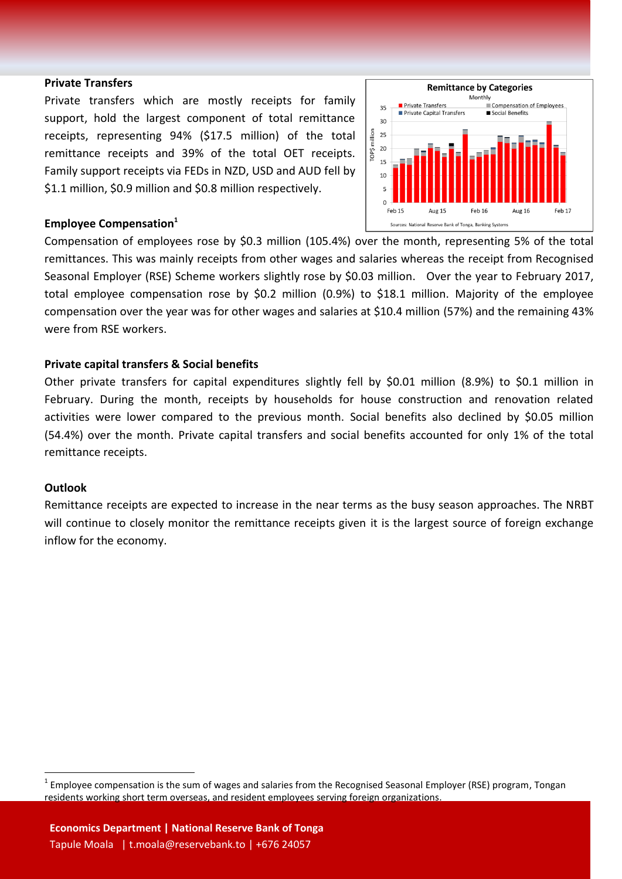#### **Private Transfers**

Private transfers which are mostly receipts for family support, hold the largest component of total remittance receipts, representing 94% (\$17.5 million) of the total remittance receipts and 39% of the total OET receipts. Family support receipts via FEDs in NZD, USD and AUD fell by \$1.1 million, \$0.9 million and \$0.8 million respectively.



#### **Employee Compensation<sup>1</sup>**

Compensation of employees rose by \$0.3 million (105.4%) over the month, representing 5% of the total remittances. This was mainly receipts from other wages and salaries whereas the receipt from Recognised Seasonal Employer (RSE) Scheme workers slightly rose by \$0.03 million. Over the year to February 2017, total employee compensation rose by \$0.2 million (0.9%) to \$18.1 million. Majority of the employee compensation over the year was for other wages and salaries at \$10.4 million (57%) and the remaining 43% were from RSE workers.

#### **Private capital transfers & Social benefits**

Other private transfers for capital expenditures slightly fell by \$0.01 million (8.9%) to \$0.1 million in February. During the month, receipts by households for house construction and renovation related activities were lower compared to the previous month. Social benefits also declined by \$0.05 million (54.4%) over the month. Private capital transfers and social benefits accounted for only 1% of the total remittance receipts.

#### **Outlook**

 $\overline{a}$ 

Remittance receipts are expected to increase in the near terms as the busy season approaches. The NRBT will continue to closely monitor the remittance receipts given it is the largest source of foreign exchange inflow for the economy.

 $^1$  Employee compensation is the sum of wages and salaries from the Recognised Seasonal Employer (RSE) program, Tongan residents working short term overseas, and resident employees serving foreign organizations.